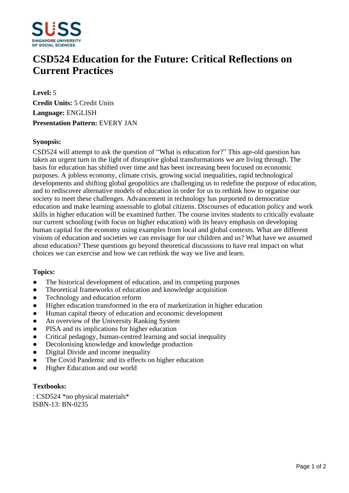

# **CSD524 Education for the Future: Critical Reflections on Current Practices**

**Level:** 5 **Credit Units:** 5 Credit Units **Language:** ENGLISH **Presentation Pattern:** EVERY JAN

## **Synopsis:**

CSD524 will attempt to ask the question of "What is education for?" This age-old question has taken an urgent turn in the light of disruptive global transformations we are living through. The basis for education has shifted over time and has been increasing been focused on economic purposes. A jobless economy, climate crisis, growing social inequalities, rapid technological developments and shifting global geopolitics are challenging us to redefine the purpose of education, and to rediscover alternative models of education in order for us to rethink how to organise our society to meet these challenges. Advancement in technology has purported to democratize education and make learning assessable to global citizens. Discourses of education policy and work skills in higher education will be examined further. The course invites students to critically evaluate our current schooling (with focus on higher education) with its heavy emphasis on developing human capital for the economy using examples from local and global contexts. What are different visions of education and societies we can envisage for our children and us? What have we assumed about education? These questions go beyond theoretical discussions to have real impact on what choices we can exercise and how we can rethink the way we live and learn.

#### **Topics:**

- The historical development of education, and its competing purposes
- Theoretical frameworks of education and knowledge acquisition
- Technology and education reform
- Higher education transformed in the era of marketization in higher education
- ƔHuman capital theory of education and economic development
- An overview of the University Ranking System
- PISA and its implications for higher education
- Critical pedagogy, human-centred learning and social inequality
- Decolonising knowledge and knowledge production
- Digital Divide and income inequality
- The Covid Pandemic and its effects on higher education
- Higher Education and our world

#### **Textbooks:**

: CSD524 \*no physical materials\* ISBN-13: BN-0235